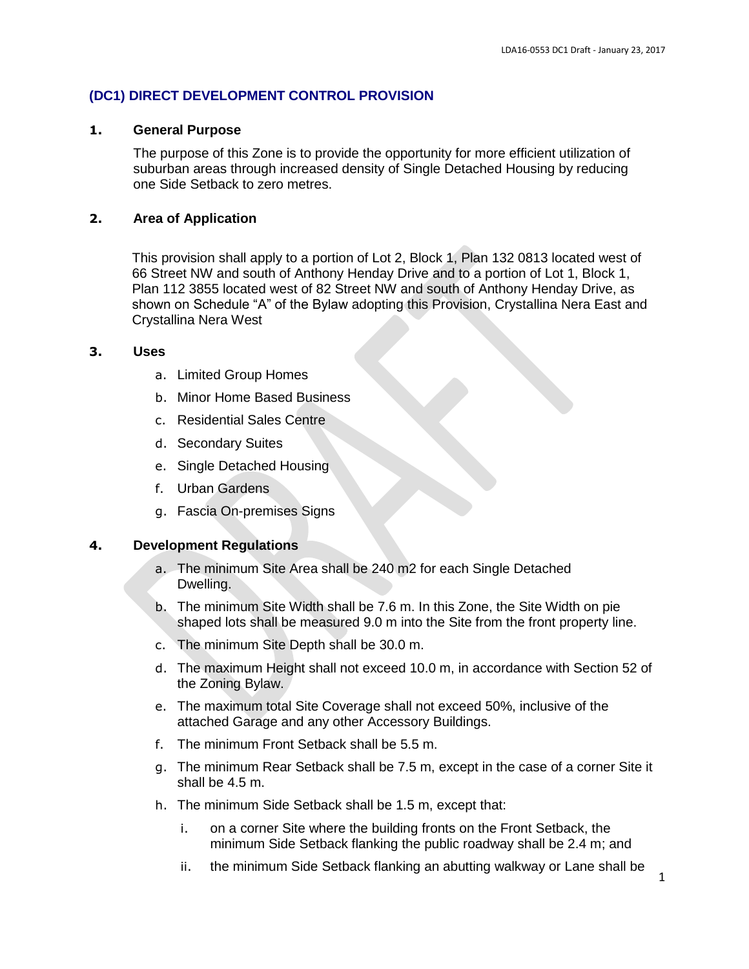# **(DC1) DIRECT DEVELOPMENT CONTROL PROVISION**

## **1. General Purpose**

The purpose of this Zone is to provide the opportunity for more efficient utilization of suburban areas through increased density of Single Detached Housing by reducing one Side Setback to zero metres.

## **2. Area of Application**

This provision shall apply to a portion of Lot 2, Block 1, Plan 132 0813 located west of 66 Street NW and south of Anthony Henday Drive and to a portion of Lot 1, Block 1, Plan 112 3855 located west of 82 Street NW and south of Anthony Henday Drive, as shown on Schedule "A" of the Bylaw adopting this Provision, Crystallina Nera East and Crystallina Nera West

## **3. Uses**

- a. Limited Group Homes
- b. Minor Home Based Business
- c. Residential Sales Centre
- d. Secondary Suites
- e. Single Detached Housing
- f. Urban Gardens
- g. Fascia On-premises Signs

## **4. Development Regulations**

- a. The minimum Site Area shall be 240 m2 for each Single Detached Dwelling.
- b. The minimum Site Width shall be 7.6 m. In this Zone, the Site Width on pie shaped lots shall be measured 9.0 m into the Site from the front property line.
- c. The minimum Site Depth shall be 30.0 m.
- d. The maximum Height shall not exceed 10.0 m, in accordance with Section 52 of the Zoning Bylaw.
- e. The maximum total Site Coverage shall not exceed 50%, inclusive of the attached Garage and any other Accessory Buildings.
- f. The minimum Front Setback shall be 5.5 m.
- g. The minimum Rear Setback shall be 7.5 m, except in the case of a corner Site it shall be 4.5 m.
- h. The minimum Side Setback shall be 1.5 m, except that:
	- i. on a corner Site where the building fronts on the Front Setback, the minimum Side Setback flanking the public roadway shall be 2.4 m; and
	- ii. the minimum Side Setback flanking an abutting walkway or Lane shall be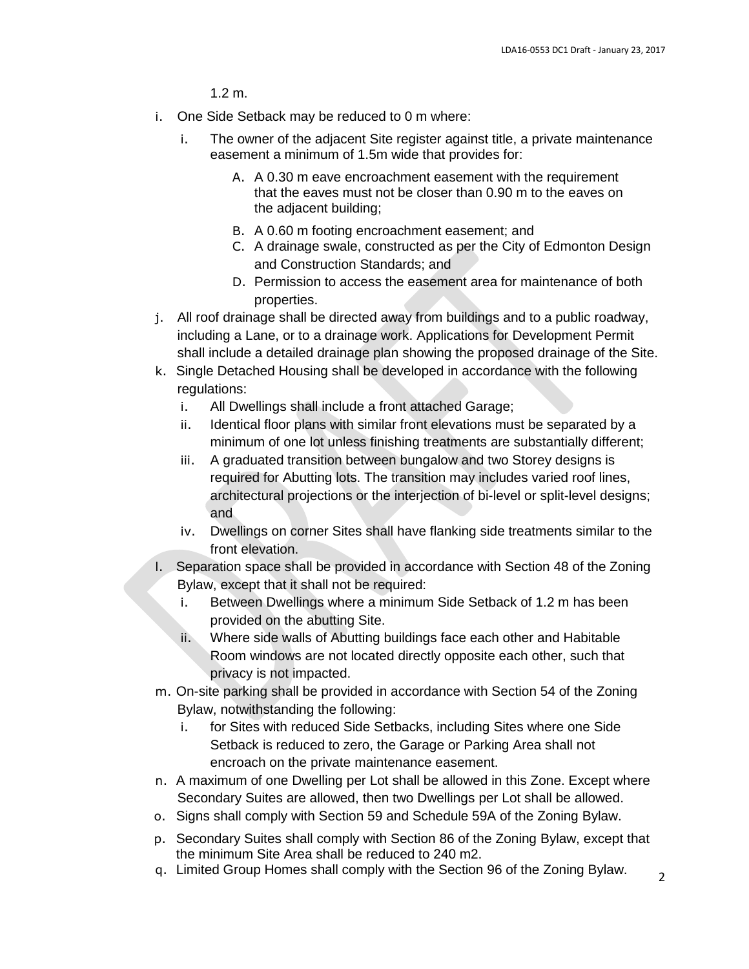1.2 m.

- i. One Side Setback may be reduced to 0 m where:
	- i. The owner of the adjacent Site register against title, a private maintenance easement a minimum of 1.5m wide that provides for:
		- A. A 0.30 m eave encroachment easement with the requirement that the eaves must not be closer than 0.90 m to the eaves on the adjacent building;
		- B. A 0.60 m footing encroachment easement; and
		- C. A drainage swale, constructed as per the City of Edmonton Design and Construction Standards; and
		- D. Permission to access the easement area for maintenance of both properties.
- j. All roof drainage shall be directed away from buildings and to a public roadway, including a Lane, or to a drainage work. Applications for Development Permit shall include a detailed drainage plan showing the proposed drainage of the Site.
- k. Single Detached Housing shall be developed in accordance with the following regulations:
	- i. All Dwellings shall include a front attached Garage;
	- ii. Identical floor plans with similar front elevations must be separated by a minimum of one lot unless finishing treatments are substantially different;
	- iii. A graduated transition between bungalow and two Storey designs is required for Abutting lots. The transition may includes varied roof lines, architectural projections or the interjection of bi-level or split-level designs; and
	- iv. Dwellings on corner Sites shall have flanking side treatments similar to the front elevation.
- l. Separation space shall be provided in accordance with Section 48 of the Zoning Bylaw, except that it shall not be required:
	- i. Between Dwellings where a minimum Side Setback of 1.2 m has been provided on the abutting Site.
	- ii. Where side walls of Abutting buildings face each other and Habitable Room windows are not located directly opposite each other, such that privacy is not impacted.
- m. On-site parking shall be provided in accordance with Section 54 of the Zoning Bylaw, notwithstanding the following:
	- i. for Sites with reduced Side Setbacks, including Sites where one Side Setback is reduced to zero, the Garage or Parking Area shall not encroach on the private maintenance easement.
- n. A maximum of one Dwelling per Lot shall be allowed in this Zone. Except where Secondary Suites are allowed, then two Dwellings per Lot shall be allowed.
- o. Signs shall comply with Section 59 and Schedule 59A of the Zoning Bylaw.
- p. Secondary Suites shall comply with Section 86 of the Zoning Bylaw, except that the minimum Site Area shall be reduced to 240 m2.
- q. Limited Group Homes shall comply with the Section 96 of the Zoning Bylaw.